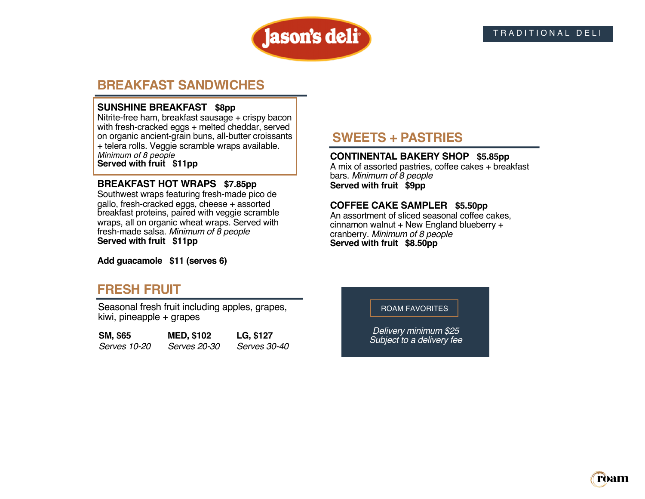

# **BREAKFAST SANDWICHES**

#### **SUNSHINE BREAKFAST \$8pp**

Nitrite-free ham, breakfast sausage + crispy bacon with fresh-cracked eggs + melted cheddar, served on organic ancient-grain buns, all-butter croissants + telera rolls. Veggie scramble wraps available. *Minimum of 8 people* **Served with fruit \$11pp**

#### **BREAKFAST HOT WRAPS \$7.85pp**

Southwest wraps featuring fresh-made pico de gallo, fresh-cracked eggs, cheese + assorted breakfast proteins, paired with veggie scramble wraps, all on organic wheat wraps. Served with fresh-made salsa. *Minimum of 8 people*  **Served with fruit \$11pp**

**Add guacamole \$11 (serves 6)**

# **FRESH FRUIT**

Seasonal fresh fruit including apples, grapes, kiwi, pineapple + grapes

| SM, \$65     | <b>MED, \$102</b>   | LG, \$127           |
|--------------|---------------------|---------------------|
| Serves 10-20 | <i>Serves 20-30</i> | <i>Serves 30-40</i> |

# **SWEETS + PASTRIES**

#### **CONTINENTAL BAKERY SHOP \$5.85pp**

A mix of assorted pastries, coffee cakes + breakfast bars. *Minimum of 8 people* **Served with fruit \$9pp**

#### **COFFEE CAKE SAMPLER \$5.50pp**

An assortment of sliced seasonal coffee cakes, cinnamon walnut + New England blueberry + cranberry. *Minimum of 8 people* **Served with fruit \$8.50pp**

#### ROAM FAVORITES

*Delivery minimum \$25 Subject to a delivery fee*